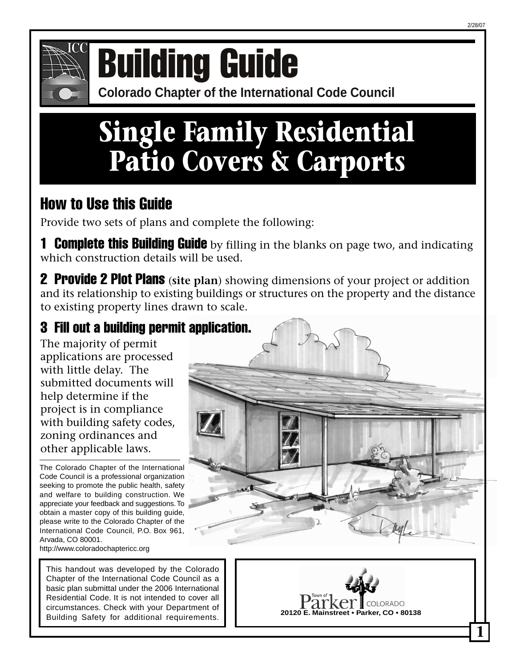

# **COMPONICE COLORATION CONFERENCE OF COLORATION CONFERENCE CONFERENCE CONFERENCE CONFERENCE CONFERENCE CONFERENCE CONFERENCE CONFERENCE CONFERENCE CONFERENCE CONFERENCE CONFERENCE CONFERENCE CONFERENCE CONFERENCE CONFERENCE**

## **Single Family Residential Patio Covers & Carports**

#### How to Use this Guide

Provide two sets of plans and complete the following:

**1 Complete this Building Guide** by filling in the blanks on page two, and indicating which construction details will be used.

2 Provide 2 Plot Plans (**site plan**) showing dimensions of your project or addition and its relationship to existing buildings or structures on the property and the distance to existing property lines drawn to scale.

#### 3 Fill out a building permit application.

The majority of permit applications are processed with little delay. The submitted documents will help determine if the project is in compliance with building safety codes, zoning ordinances and other applicable laws.

The Colorado Chapter of the International Code Council is a professional organization seeking to promote the public health, safety and welfare to building construction. We appreciate your feedback and suggestions. To obtain a master copy of this building guide, please write to the Colorado Chapter of the International Code Council, P.O. Box 961, Arvada, CO 80001.

http://www.coloradochaptericc.org

This handout was developed by the Colorado Chapter of the International Code Council as a basic plan submittal under the 2006 International Residential Code. It is not intended to cover all circumstances. Check with your Department of Building Safety for additional requirements.





**1**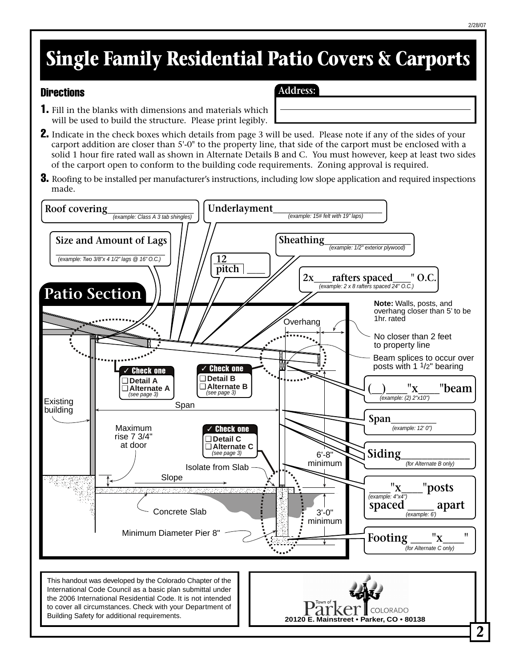### **Single Family Residential Patio Covers & Carports**

#### **Directions**

- **Address:**
- 1. Fill in the blanks with dimensions and materials which will be used to build the structure. Please print legibly.
- **2.** Indicate in the check boxes which details from page 3 will be used. Please note if any of the sides of your carport addition are closer than 5'-0" to the property line, that side of the carport must be enclosed with a solid 1 hour fire rated wall as shown in Alternate Details B and C. You must however, keep at least two sides of the carport open to conform to the building code requirements. Zoning approval is required.
- **3.** Roofing to be installed per manufacturer's instructions, including low slope application and required inspections made.